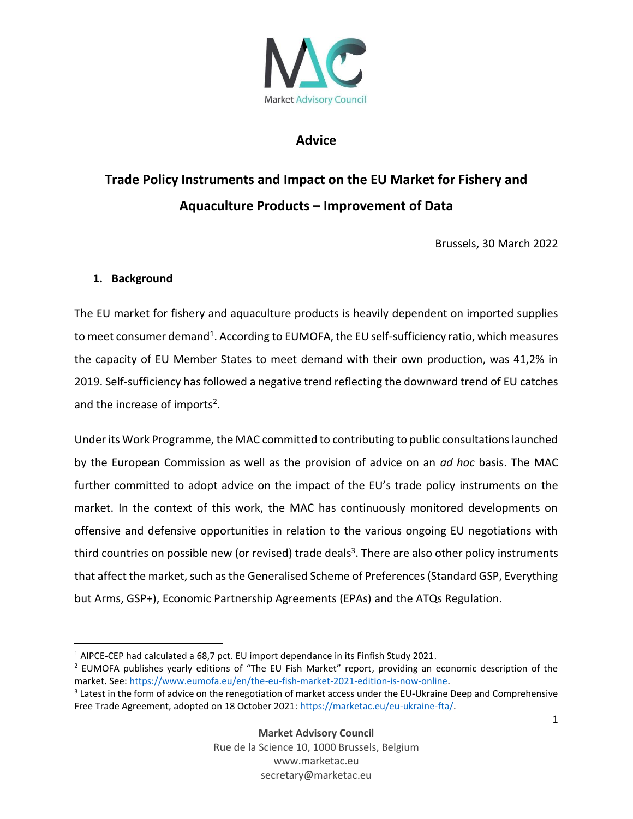

## **Advice**

# **Trade Policy Instruments and Impact on the EU Market for Fishery and Aquaculture Products – Improvement of Data**

Brussels, 30 March 2022

#### **1. Background**

The EU market for fishery and aquaculture products is heavily dependent on imported supplies to meet consumer demand<sup>1</sup>. According to EUMOFA, the EU self-sufficiency ratio, which measures the capacity of EU Member States to meet demand with their own production, was 41,2% in 2019. Self-sufficiency has followed a negative trend reflecting the downward trend of EU catches and the increase of imports<sup>2</sup>.

Under its Work Programme, the MAC committed to contributing to public consultations launched by the European Commission as well as the provision of advice on an *ad hoc* basis. The MAC further committed to adopt advice on the impact of the EU's trade policy instruments on the market. In the context of this work, the MAC has continuously monitored developments on offensive and defensive opportunities in relation to the various ongoing EU negotiations with third countries on possible new (or revised) trade deals<sup>3</sup>. There are also other policy instruments that affect the market, such as the Generalised Scheme of Preferences (Standard GSP, Everything but Arms, GSP+), Economic Partnership Agreements (EPAs) and the ATQs Regulation.

 $1$  AIPCE-CEP had calculated a 68,7 pct. EU import dependance in its Finfish Study 2021.

<sup>2</sup> EUMOFA publishes yearly editions of "The EU Fish Market" report, providing an economic description of the market. See[: https://www.eumofa.eu/en/the-eu-fish-market-2021-edition-is-now-online.](https://www.eumofa.eu/en/the-eu-fish-market-2021-edition-is-now-online)

 $3$  Latest in the form of advice on the renegotiation of market access under the EU-Ukraine Deep and Comprehensive Free Trade Agreement, adopted on 18 October 2021: [https://marketac.eu/eu-ukraine-fta/.](https://marketac.eu/eu-ukraine-fta/)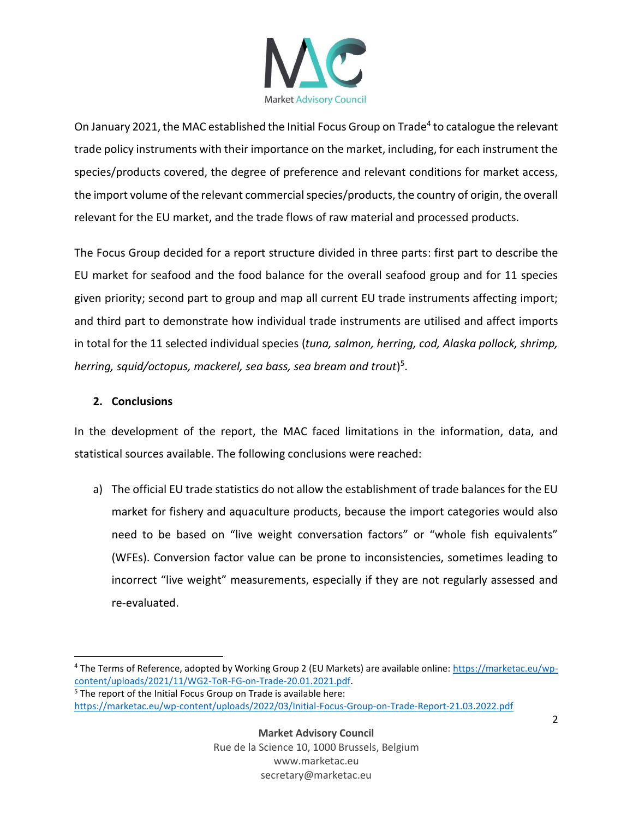

On January 2021, the MAC established the Initial Focus Group on Trade<sup>4</sup> to catalogue the relevant trade policy instruments with their importance on the market, including, for each instrument the species/products covered, the degree of preference and relevant conditions for market access, the import volume of the relevant commercial species/products, the country of origin, the overall relevant for the EU market, and the trade flows of raw material and processed products.

The Focus Group decided for a report structure divided in three parts: first part to describe the EU market for seafood and the food balance for the overall seafood group and for 11 species given priority; second part to group and map all current EU trade instruments affecting import; and third part to demonstrate how individual trade instruments are utilised and affect imports in total for the 11 selected individual species (*tuna, salmon, herring, cod, Alaska pollock, shrimp, herring, squid/octopus, mackerel, sea bass, sea bream and trout*) 5 .

### **2. Conclusions**

In the development of the report, the MAC faced limitations in the information, data, and statistical sources available. The following conclusions were reached:

a) The official EU trade statistics do not allow the establishment of trade balances for the EU market for fishery and aquaculture products, because the import categories would also need to be based on "live weight conversation factors" or "whole fish equivalents" (WFEs). Conversion factor value can be prone to inconsistencies, sometimes leading to incorrect "live weight" measurements, especially if they are not regularly assessed and re-evaluated.

<sup>4</sup> The Terms of Reference, adopted by Working Group 2 (EU Markets) are available online: [https://marketac.eu/wp](https://marketac.eu/wp-content/uploads/2021/11/WG2-ToR-FG-on-Trade-20.01.2021.pdf)[content/uploads/2021/11/WG2-ToR-FG-on-Trade-20.01.2021.pdf.](https://marketac.eu/wp-content/uploads/2021/11/WG2-ToR-FG-on-Trade-20.01.2021.pdf)

 $5$  The report of the Initial Focus Group on Trade is available here: <https://marketac.eu/wp-content/uploads/2022/03/Initial-Focus-Group-on-Trade-Report-21.03.2022.pdf>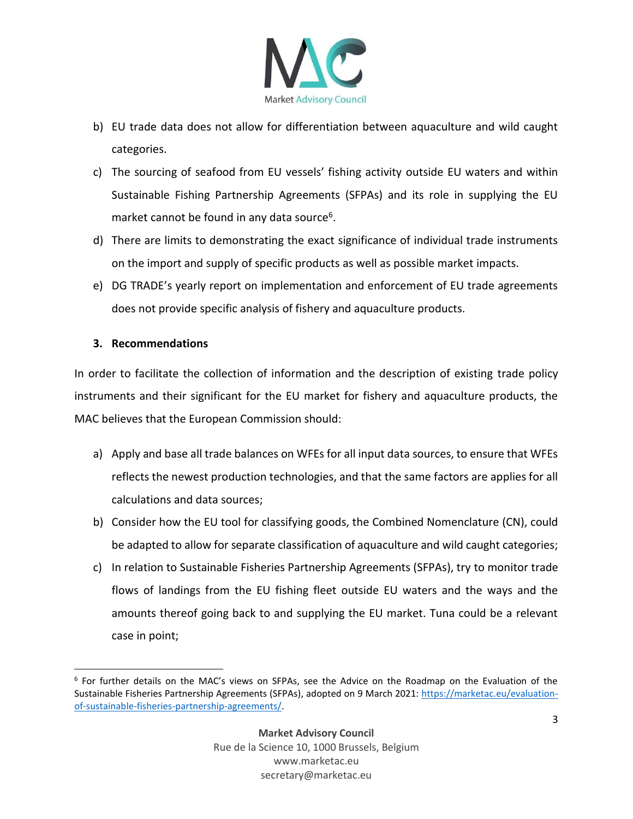

- b) EU trade data does not allow for differentiation between aquaculture and wild caught categories.
- c) The sourcing of seafood from EU vessels' fishing activity outside EU waters and within Sustainable Fishing Partnership Agreements (SFPAs) and its role in supplying the EU market cannot be found in any data source<sup>6</sup>.
- d) There are limits to demonstrating the exact significance of individual trade instruments on the import and supply of specific products as well as possible market impacts.
- e) DG TRADE's yearly report on implementation and enforcement of EU trade agreements does not provide specific analysis of fishery and aquaculture products.

#### **3. Recommendations**

In order to facilitate the collection of information and the description of existing trade policy instruments and their significant for the EU market for fishery and aquaculture products, the MAC believes that the European Commission should:

- a) Apply and base all trade balances on WFEs for all input data sources, to ensure that WFEs reflects the newest production technologies, and that the same factors are applies for all calculations and data sources;
- b) Consider how the EU tool for classifying goods, the Combined Nomenclature (CN), could be adapted to allow for separate classification of aquaculture and wild caught categories;
- c) In relation to Sustainable Fisheries Partnership Agreements (SFPAs), try to monitor trade flows of landings from the EU fishing fleet outside EU waters and the ways and the amounts thereof going back to and supplying the EU market. Tuna could be a relevant case in point;

<sup>&</sup>lt;sup>6</sup> For further details on the MAC's views on SFPAs, see the Advice on the Roadmap on the Evaluation of the Sustainable Fisheries Partnership Agreements (SFPAs), adopted on 9 March 2021: [https://marketac.eu/evaluation](https://marketac.eu/evaluation-of-sustainable-fisheries-partnership-agreements/)[of-sustainable-fisheries-partnership-agreements/.](https://marketac.eu/evaluation-of-sustainable-fisheries-partnership-agreements/)